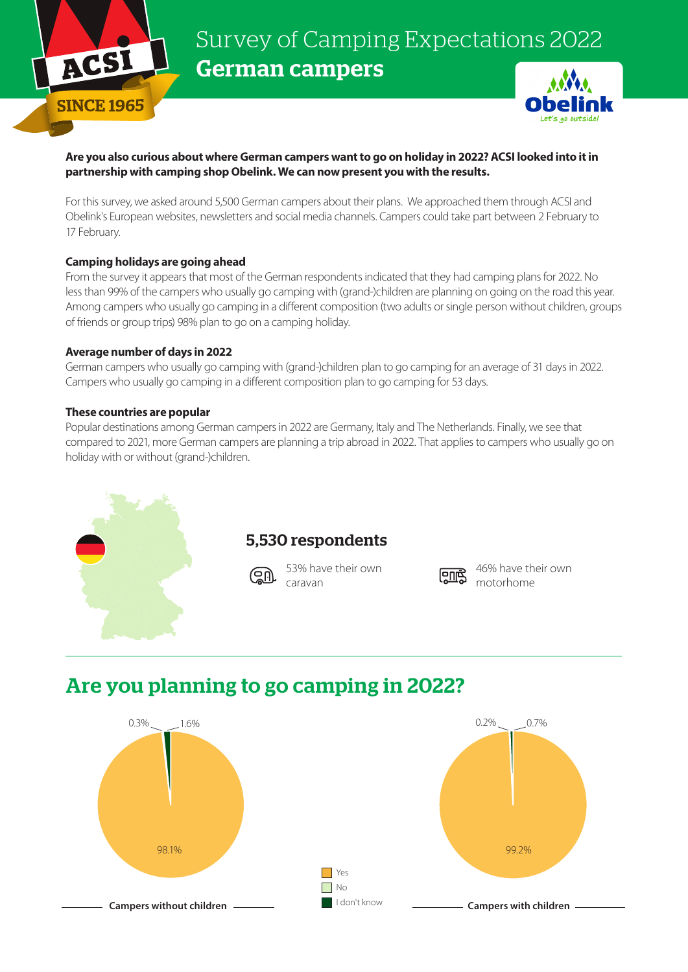

# Survey of Camping Expectations 2022 German campers

### **Are you also curious about where German campers want to go on holiday in 2022? ACSI looked into it in partnership with camping shop Obelink. We can now present you with the results.**

For this survey, we asked around 5,500 German campers about their plans. We approached them through ACSI and Obelink's European websites, newsletters and social media channels. Campers could take part between 2 February to 17 February.

### **Camping holidays are going ahead**

From the survey it appears that most of the German respondents indicated that they had camping plans for 2022. No less than 99% of the campers who usually go camping with (grand-)children are planning on going on the road this year. Among campers who usually go camping in a different composition (two adults or single person without children, groups of friends or group trips) 98% plan to go on a camping holiday.

#### **Average number of days in 2022**

German campers who usually go camping with (grand-)children plan to go camping for an average of 31 days in 2022. Campers who usually go camping in a different composition plan to go camping for 53 days.

### **These countries are popular**

Popular destinations among German campers in 2022 are Germany, Italy and The Netherlands. Finally, we see that compared to 2021, more German campers are planning a trip abroad in 2022. That applies to campers who usually go on holiday with or without (grand-)children.



### 5,530 respondents

53% have their own caravan



46% have their own motorhome

## Are you planning to go camping in 2022?